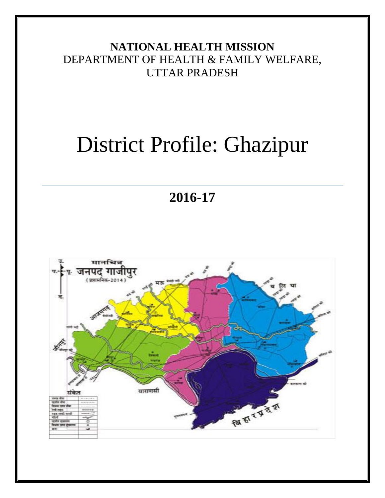# **NATIONAL HEALTH MISSION** DEPARTMENT OF HEALTH & FAMILY WELFARE, UTTAR PRADESH

# District Profile: Ghazipur

**2016-17**

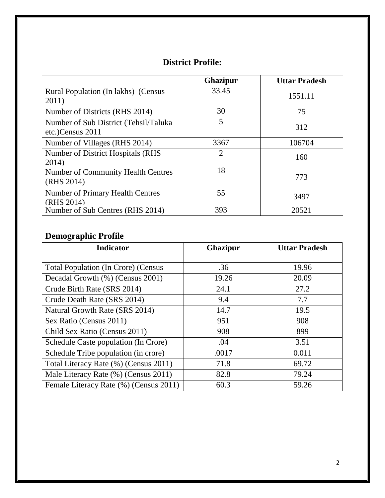|                                                           | Ghazipur       | <b>Uttar Pradesh</b> |
|-----------------------------------------------------------|----------------|----------------------|
| Rural Population (In lakhs) (Census<br>2011)              | 33.45          | 1551.11              |
| Number of Districts (RHS 2014)                            | 30             | 75                   |
| Number of Sub District (Tehsil/Taluka<br>etc.)Census 2011 | 5              | 312                  |
| Number of Villages (RHS 2014)                             | 3367           | 106704               |
| Number of District Hospitals (RHS<br>2014)                | $\overline{2}$ | 160                  |
| <b>Number of Community Health Centres</b><br>(RHS 2014)   | 18             | 773                  |
| <b>Number of Primary Health Centres</b><br>(RHS 2014)     | 55             | 3497                 |
| Number of Sub Centres (RHS 2014)                          | 393            | 20521                |

# **Demographic Profile**

| <b>Indicator</b>                           | <b>Ghazipur</b> | <b>Uttar Pradesh</b> |
|--------------------------------------------|-----------------|----------------------|
|                                            |                 |                      |
| <b>Total Population (In Crore) (Census</b> | .36             | 19.96                |
| Decadal Growth (%) (Census 2001)           | 19.26           | 20.09                |
| Crude Birth Rate (SRS 2014)                | 24.1            | 27.2                 |
| Crude Death Rate (SRS 2014)                | 9.4             | 7.7                  |
| Natural Growth Rate (SRS 2014)             | 14.7            | 19.5                 |
| Sex Ratio (Census 2011)                    | 951             | 908                  |
| Child Sex Ratio (Census 2011)              | 908             | 899                  |
| Schedule Caste population (In Crore)       | .04             | 3.51                 |
| Schedule Tribe population (in crore)       | .0017           | 0.011                |
| Total Literacy Rate (%) (Census 2011)      | 71.8            | 69.72                |
| Male Literacy Rate (%) (Census 2011)       | 82.8            | 79.24                |
| Female Literacy Rate (%) (Census 2011)     | 60.3            | 59.26                |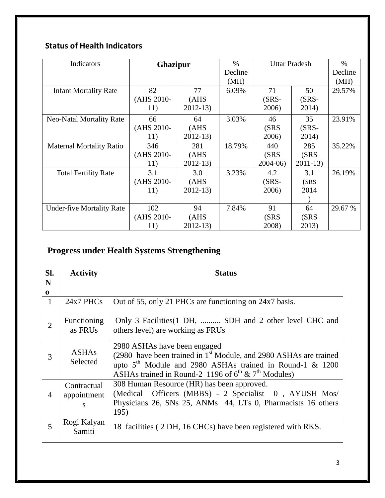## **Status of Health Indicators**

| Indicators                       | <b>Ghazipur</b> |             | $\frac{0}{0}$ | <b>Uttar Pradesh</b> |           | $\%$    |
|----------------------------------|-----------------|-------------|---------------|----------------------|-----------|---------|
|                                  |                 |             | Decline       |                      |           | Decline |
|                                  |                 |             | (MH)          |                      |           | (MH)    |
| <b>Infant Mortality Rate</b>     | 82              | 77          | 6.09%         | 71                   | 50        | 29.57%  |
|                                  | (AHS 2010-      | (AHS)       |               | $(SRS-$              | $(SRS -$  |         |
|                                  | 11)             | $2012 - 13$ |               | 2006)                | 2014)     |         |
| <b>Neo-Natal Mortality Rate</b>  | 66              | 64          | 3.03%         | 46                   | 35        | 23.91%  |
|                                  | (AHS 2010-      | (AHS)       |               | (SRS                 | $(SRS-$   |         |
|                                  | 11)             | $2012 - 13$ |               | 2006)                | 2014)     |         |
| <b>Maternal Mortality Ratio</b>  | 346             | 281         | 18.79%        | 440                  | 285       | 35.22%  |
|                                  | (AHS 2010-      | (AHS)       |               | (SRS                 | (SRS      |         |
|                                  | 11)             | $2012 - 13$ |               | $2004-06$            | $2011-13$ |         |
| <b>Total Fertility Rate</b>      | 3.1             | 3.0         | 3.23%         | 4.2                  | 3.1       | 26.19%  |
|                                  | (AHS 2010-      | (AHS)       |               | $(SRS-$              | (SRS)     |         |
|                                  | 11)             | $2012 - 13$ |               | 2006)                | 2014      |         |
|                                  |                 |             |               |                      |           |         |
| <b>Under-five Mortality Rate</b> | 102             | 94          | 7.84%         | 91                   | 64        | 29.67 % |
|                                  | (AHS 2010-      | (AHS        |               | (SRS                 | (SRS      |         |
|                                  | 11)             | $2012 - 13$ |               | 2008)                | 2013)     |         |

# **Progress under Health Systems Strengthening**

| Sl.<br>N       | <b>Activity</b>                 | <b>Status</b>                                                                                                                                                                                                                                              |
|----------------|---------------------------------|------------------------------------------------------------------------------------------------------------------------------------------------------------------------------------------------------------------------------------------------------------|
| $\bf{0}$       |                                 |                                                                                                                                                                                                                                                            |
| 1              | $24x7$ PHCs                     | Out of 55, only 21 PHCs are functioning on 24x7 basis.                                                                                                                                                                                                     |
| $\overline{2}$ | Functioning<br>as FRUs          | Only 3 Facilities (1 DH,  SDH and 2 other level CHC and<br>others level) are working as FRUs                                                                                                                                                               |
| 3              | <b>ASHAs</b><br>Selected        | 2980 ASHAs have been engaged<br>(2980 have been trained in 1 <sup>st</sup> Module, and 2980 ASHAs are trained<br>upto $5th$ Module and 2980 ASHAs trained in Round-1 & 1200<br>ASHAs trained in Round-2 1196 of $6^{\text{th}}$ & $7^{\text{th}}$ Modules) |
| $\overline{4}$ | Contractual<br>appointment<br>S | 308 Human Resource (HR) has been approved.<br>(Medical Officers (MBBS) - 2 Specialist 0, AYUSH Mos/<br>Physicians 26, SNs 25, ANMs 44, LTs 0, Pharmacists 16 others<br>195)                                                                                |
| 5              | Rogi Kalyan<br>Samiti           | 18 facilities (2 DH, 16 CHCs) have been registered with RKS.                                                                                                                                                                                               |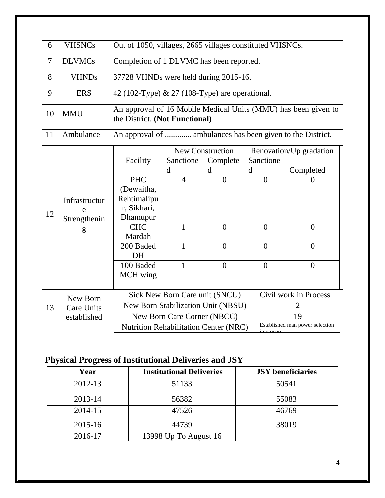| 6              | <b>VHSNCs</b>                      | Out of 1050, villages, 2665 villages constituted VHSNCs.           |                                                                                                  |                                          |   |                |                                      |
|----------------|------------------------------------|--------------------------------------------------------------------|--------------------------------------------------------------------------------------------------|------------------------------------------|---|----------------|--------------------------------------|
| $\overline{7}$ | <b>DLVMCs</b>                      | Completion of 1 DLVMC has been reported.                           |                                                                                                  |                                          |   |                |                                      |
| 8              | <b>VHNDs</b>                       | 37728 VHNDs were held during 2015-16.                              |                                                                                                  |                                          |   |                |                                      |
| 9              | <b>ERS</b>                         | 42 (102-Type) & 27 (108-Type) are operational.                     |                                                                                                  |                                          |   |                |                                      |
| 10             | <b>MMU</b>                         |                                                                    | An approval of 16 Mobile Medical Units (MMU) has been given to<br>the District. (Not Functional) |                                          |   |                |                                      |
| 11             | Ambulance                          | An approval of  ambulances has been given to the District.         |                                                                                                  |                                          |   |                |                                      |
|                |                                    | Facility                                                           | Sanctione<br>d                                                                                   | <b>New Construction</b><br>Complete<br>d | d | Sanctione      | Renovation/Up gradation<br>Completed |
| 12             | Infrastructur<br>e<br>Strengthenin | <b>PHC</b><br>(Dewaitha,<br>Rehtimalipu<br>r, Sikhari,<br>Dhamupur | $\overline{4}$                                                                                   | $\overline{0}$                           |   | $\theta$       | $\theta$                             |
|                | g                                  | <b>CHC</b><br>Mardah                                               | 1                                                                                                | $\theta$                                 |   | $\theta$       | $\theta$                             |
|                |                                    | 200 Baded<br>DH                                                    | $\mathbf{1}$                                                                                     | $\Omega$                                 |   | $\theta$       | $\theta$                             |
|                |                                    | 100 Baded<br>MCH wing                                              | 1                                                                                                | $\overline{0}$                           |   | $\overline{0}$ | $\overline{0}$                       |
|                | New Born                           |                                                                    | Sick New Born Care unit (SNCU)                                                                   |                                          |   |                | Civil work in Process                |
| 13             | <b>Care Units</b>                  |                                                                    |                                                                                                  | New Born Stabilization Unit (NBSU)       |   |                | 2                                    |
|                | established                        | 19<br>New Born Care Corner (NBCC)                                  |                                                                                                  |                                          |   |                |                                      |
|                |                                    | Nutrition Rehabilitation Center (NRC)                              |                                                                                                  |                                          |   |                | Established man power selection      |

# **Physical Progress of Institutional Deliveries and JSY**

| Year        | <b>Institutional Deliveries</b> | <b>JSY</b> beneficiaries |
|-------------|---------------------------------|--------------------------|
| 2012-13     | 51133                           | 50541                    |
| 2013-14     | 56382                           | 55083                    |
| 2014-15     | 47526                           | 46769                    |
| $2015 - 16$ | 44739                           | 38019                    |
| 2016-17     | 13998 Up To August 16           |                          |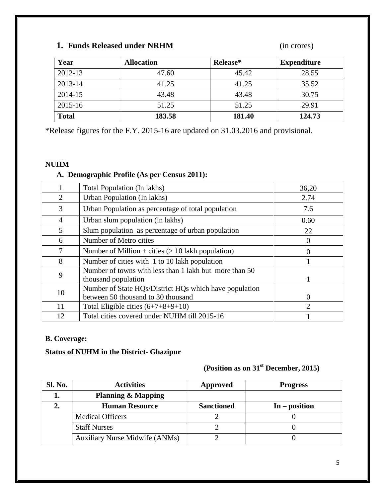### **1. Funds Released under NRHM** (in crores)

| Year         | <b>Allocation</b> | Release* | <b>Expenditure</b> |
|--------------|-------------------|----------|--------------------|
| 2012-13      | 47.60             | 45.42    | 28.55              |
| 2013-14      | 41.25             | 41.25    | 35.52              |
| 2014-15      | 43.48             | 43.48    | 30.75              |
| 2015-16      | 51.25             | 51.25    | 29.91              |
| <b>Total</b> | 183.58            | 181.40   | 124.73             |

\*Release figures for the F.Y. 2015-16 are updated on 31.03.2016 and provisional.

#### **NUHM**

#### **A. Demographic Profile (As per Census 2011):**

|                | Total Population (In lakhs)                                                                  | 36,20                       |
|----------------|----------------------------------------------------------------------------------------------|-----------------------------|
| 2              | Urban Population (In lakhs)                                                                  | 2.74                        |
| 3              | Urban Population as percentage of total population                                           | 7.6                         |
| $\overline{4}$ | Urban slum population (in lakhs)                                                             | 0.60                        |
| 5              | Slum population as percentage of urban population                                            | 22                          |
| 6              | Number of Metro cities                                                                       | 0                           |
| 7              | Number of Million + cities $(> 10$ lakh population)                                          |                             |
| 8              | Number of cities with 1 to 10 lakh population                                                |                             |
| 9              | Number of towns with less than 1 lakh but more than 50<br>thousand population                |                             |
| 10             | Number of State HQs/District HQs which have population<br>between 50 thousand to 30 thousand | $\Omega$                    |
| 11             | Total Eligible cities $(6+7+8+9+10)$                                                         | $\mathcal{D}_{\mathcal{L}}$ |
| 12             | Total cities covered under NUHM till 2015-16                                                 |                             |

#### **B. Coverage:**

#### **Status of NUHM in the District- Ghazipur**

# **(Position as on 31st December, 2015)**

| Sl. No. | <b>Activities</b>                     | Approved          | <b>Progress</b> |
|---------|---------------------------------------|-------------------|-----------------|
|         | <b>Planning &amp; Mapping</b>         |                   |                 |
|         | <b>Human Resource</b>                 | <b>Sanctioned</b> | $In - position$ |
|         | <b>Medical Officers</b>               |                   |                 |
|         | <b>Staff Nurses</b>                   |                   |                 |
|         | <b>Auxiliary Nurse Midwife (ANMs)</b> |                   |                 |